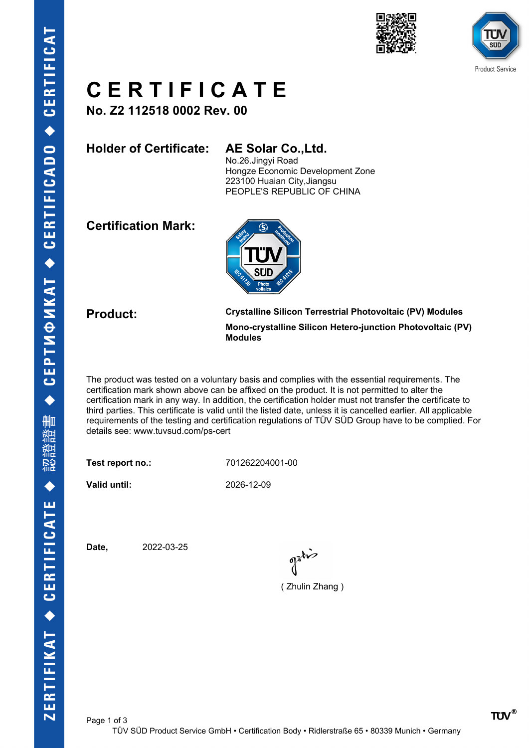



# **C E R T I F I C A T E**

**No. Z2 112518 0002 Rev. 00**

**Holder of Certificate: AE Solar Co.,Ltd.**

No.26.Jingyi Road Hongze Economic Development Zone 223100 Huaian City,Jiangsu PEOPLE'S REPUBLIC OF CHINA

**Certification Mark:**



**Product: Crystalline Silicon Terrestrial Photovoltaic (PV) Modules Mono-crystalline Silicon Hetero-junction Photovoltaic (PV) Modules**

The product was tested on a voluntary basis and complies with the essential requirements. The certification mark shown above can be affixed on the product. It is not permitted to alter the certification mark in any way. In addition, the certification holder must not transfer the certificate to third parties. This certificate is valid until the listed date, unless it is cancelled earlier. All applicable requirements of the testing and certification regulations of TÜV SÜD Group have to be complied. For details see: www.tuvsud.com/ps-cert

**Test report no.:** 701262204001-00

**Valid until:** 2026-12-09

Page 1 of 3

**Date,** 2022-03-25

 $\int_0^{\frac{1}{2}} dx$ 

( Zhulin Zhang )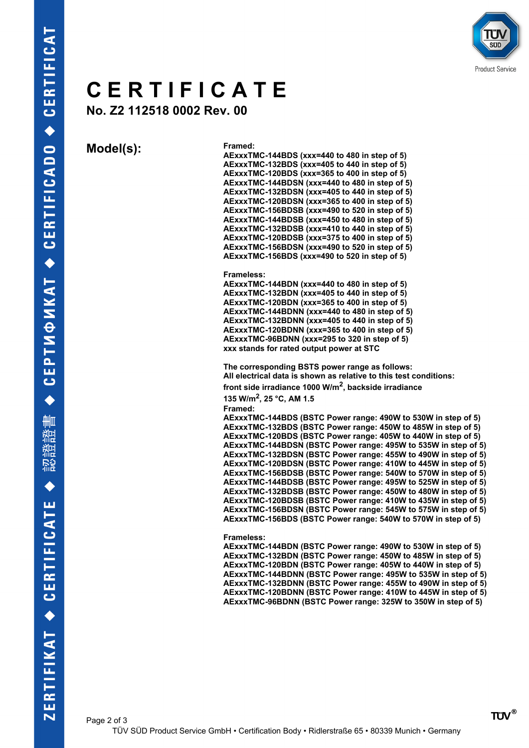

## **C E R T I F I C A T E**

**No. Z2 112518 0002 Rev. 00**

**Model(s): Framed:**

### **AExxxTMC-144BDS (xxx=440 to 480 in step of 5) AExxxTMC-132BDS (xxx=405 to 440 in step of 5) AExxxTMC-120BDS (xxx=365 to 400 in step of 5) AExxxTMC-144BDSN (xxx=440 to 480 in step of 5) AExxxTMC-132BDSN (xxx=405 to 440 in step of 5) AExxxTMC-120BDSN (xxx=365 to 400 in step of 5) AExxxTMC-156BDSB (xxx=490 to 520 in step of 5) AExxxTMC-144BDSB (xxx=450 to 480 in step of 5) AExxxTMC-132BDSB (xxx=410 to 440 in step of 5) AExxxTMC-120BDSB (xxx=375 to 400 in step of 5) AExxxTMC-156BDSN (xxx=490 to 520 in step of 5) AExxxTMC-156BDS (xxx=490 to 520 in step of 5)**

### **Frameless:**

**AExxxTMC-144BDN (xxx=440 to 480 in step of 5) AExxxTMC-132BDN (xxx=405 to 440 in step of 5) AExxxTMC-120BDN (xxx=365 to 400 in step of 5) AExxxTMC-144BDNN (xxx=440 to 480 in step of 5) AExxxTMC-132BDNN (xxx=405 to 440 in step of 5) AExxxTMC-120BDNN (xxx=365 to 400 in step of 5) AExxxTMC-96BDNN (xxx=295 to 320 in step of 5) xxx stands for rated output power at STC** 

**The corresponding BSTS power range as follows: All electrical data is shown as relative to this test conditions: front side irradiance 1000 W/m<sup>2</sup> , backside irradiance 135 W/m<sup>2</sup> , 25 °C, AM 1.5 Framed: AExxxTMC-144BDS (BSTC Power range: 490W to 530W in step of 5) AExxxTMC-132BDS (BSTC Power range: 450W to 485W in step of 5) AExxxTMC-120BDS (BSTC Power range: 405W to 440W in step of 5) AExxxTMC-144BDSN (BSTC Power range: 495W to 535W in step of 5)**

**AExxxTMC-132BDSN (BSTC Power range: 455W to 490W in step of 5) AExxxTMC-120BDSN (BSTC Power range: 410W to 445W in step of 5) AExxxTMC-156BDSB (BSTC Power range: 540W to 570W in step of 5) AExxxTMC-144BDSB (BSTC Power range: 495W to 525W in step of 5) AExxxTMC-132BDSB (BSTC Power range: 450W to 480W in step of 5) AExxxTMC-120BDSB (BSTC Power range: 410W to 435W in step of 5) AExxxTMC-156BDSN (BSTC Power range: 545W to 575W in step of 5) AExxxTMC-156BDS (BSTC Power range: 540W to 570W in step of 5)**

#### **Frameless:**

**AExxxTMC-144BDN (BSTC Power range: 490W to 530W in step of 5) AExxxTMC-132BDN (BSTC Power range: 450W to 485W in step of 5) AExxxTMC-120BDN (BSTC Power range: 405W to 440W in step of 5) AExxxTMC-144BDNN (BSTC Power range: 495W to 535W in step of 5) AExxxTMC-132BDNN (BSTC Power range: 455W to 490W in step of 5) AExxxTMC-120BDNN (BSTC Power range: 410W to 445W in step of 5) AExxxTMC-96BDNN (BSTC Power range: 325W to 350W in step of 5)**